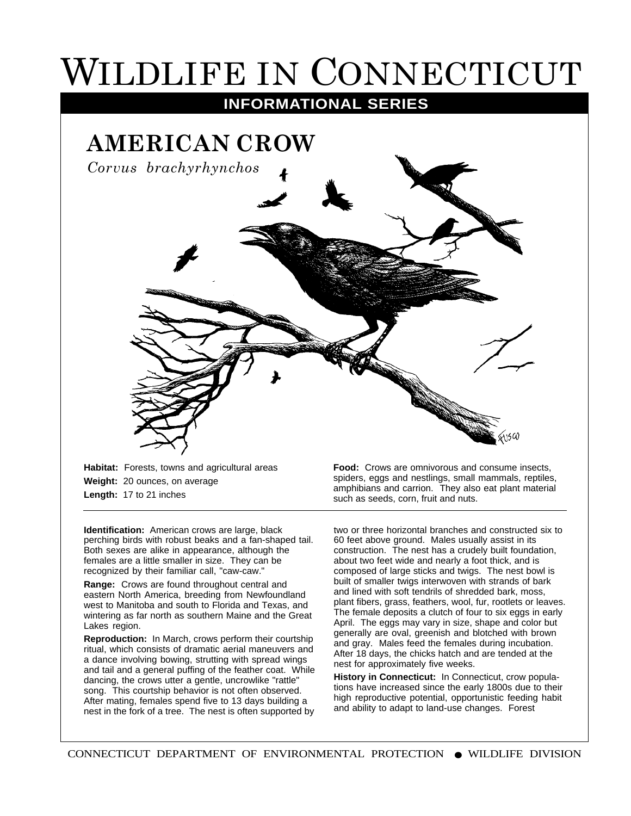## WILDLIFE IN CONNECTICUT

**INFORMATIONAL SERIES**



**Habitat:** Forests, towns and agricultural areas **Weight:** 20 ounces, on average **Length:** 17 to 21 inches

**Identification:** American crows are large, black perching birds with robust beaks and a fan-shaped tail. Both sexes are alike in appearance, although the females are a little smaller in size. They can be recognized by their familiar call, "caw-caw."

**Range:** Crows are found throughout central and eastern North America, breeding from Newfoundland west to Manitoba and south to Florida and Texas, and wintering as far north as southern Maine and the Great Lakes region.

**Reproduction:** In March, crows perform their courtship ritual, which consists of dramatic aerial maneuvers and a dance involving bowing, strutting with spread wings and tail and a general puffing of the feather coat. While dancing, the crows utter a gentle, uncrowlike "rattle" song. This courtship behavior is not often observed. After mating, females spend five to 13 days building a nest in the fork of a tree. The nest is often supported by

**Food:** Crows are omnivorous and consume insects, spiders, eggs and nestlings, small mammals, reptiles, amphibians and carrion. They also eat plant material such as seeds, corn, fruit and nuts.

two or three horizontal branches and constructed six to 60 feet above ground. Males usually assist in its construction. The nest has a crudely built foundation, about two feet wide and nearly a foot thick, and is composed of large sticks and twigs. The nest bowl is built of smaller twigs interwoven with strands of bark and lined with soft tendrils of shredded bark, moss, plant fibers, grass, feathers, wool, fur, rootlets or leaves. The female deposits a clutch of four to six eggs in early April. The eggs may vary in size, shape and color but generally are oval, greenish and blotched with brown and gray. Males feed the females during incubation. After 18 days, the chicks hatch and are tended at the nest for approximately five weeks.

**History in Connecticut:** In Connecticut, crow populations have increased since the early 1800s due to their high reproductive potential, opportunistic feeding habit and ability to adapt to land-use changes. Forest